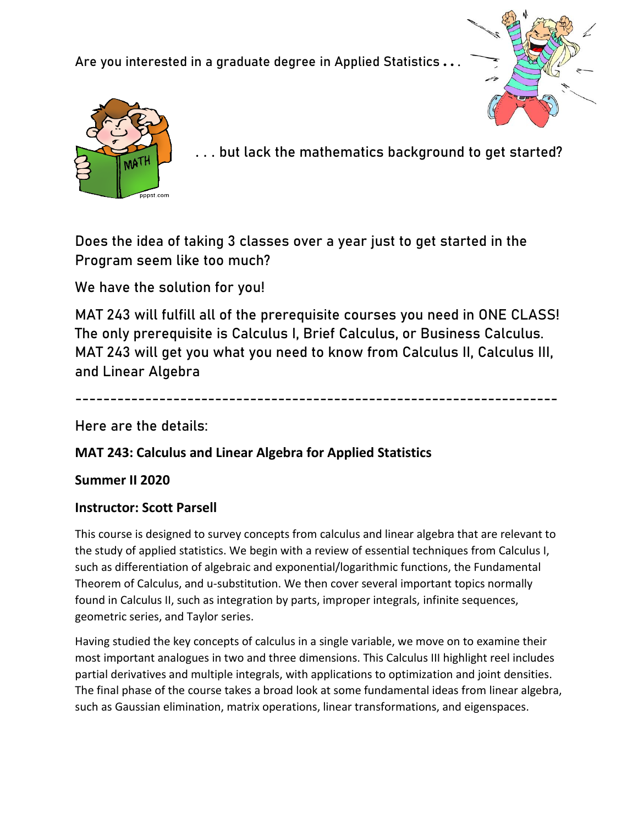Are you interested in a graduate degree in Applied Statistics ...





. . . but lack the mathematics background to get started?

Does the idea of taking 3 classes over a year just to get started in the Program seem like too much?

We have the solution for you!

MAT 243 will fulfill all of the prerequisite courses you need in ONE CLASS! The only prerequisite is Calculus I, Brief Calculus, or Business Calculus. MAT 243 will get you what you need to know from Calculus II, Calculus III, and Linear Algebra

---------------------------------------------------------------------

Here are the details:

## **MAT 243: Calculus and Linear Algebra for Applied Statistics**

## **Summer II 2020**

## **Instructor: Scott Parsell**

This course is designed to survey concepts from calculus and linear algebra that are relevant to the study of applied statistics. We begin with a review of essential techniques from Calculus I, such as differentiation of algebraic and exponential/logarithmic functions, the Fundamental Theorem of Calculus, and u-substitution. We then cover several important topics normally found in Calculus II, such as integration by parts, improper integrals, infinite sequences, geometric series, and Taylor series.

Having studied the key concepts of calculus in a single variable, we move on to examine their most important analogues in two and three dimensions. This Calculus III highlight reel includes partial derivatives and multiple integrals, with applications to optimization and joint densities. The final phase of the course takes a broad look at some fundamental ideas from linear algebra, such as Gaussian elimination, matrix operations, linear transformations, and eigenspaces.